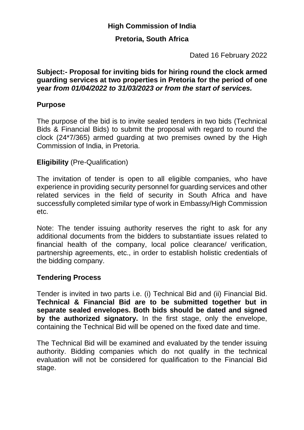# **High Commission of India**

## **Pretoria, South Africa**

Dated 16 February 2022

#### **Subject:- Proposal for inviting bids for hiring round the clock armed guarding services at two properties in Pretoria for the period of one year** *from 01/04/2022 to 31/03/2023 or from the start of services.*

# **Purpose**

The purpose of the bid is to invite sealed tenders in two bids (Technical Bids & Financial Bids) to submit the proposal with regard to round the clock (24\*7/365) armed guarding at two premises owned by the High Commission of India, in Pretoria.

#### **Eligibility** (Pre-Qualification)

The invitation of tender is open to all eligible companies, who have experience in providing security personnel for guarding services and other related services in the field of security in South Africa and have successfully completed similar type of work in Embassy/High Commission etc.

Note: The tender issuing authority reserves the right to ask for any additional documents from the bidders to substantiate issues related to financial health of the company, local police clearance/ verification, partnership agreements, etc., in order to establish holistic credentials of the bidding company.

## **Tendering Process**

Tender is invited in two parts i.e. (i) Technical Bid and (ii) Financial Bid. **Technical & Financial Bid are to be submitted together but in separate sealed envelopes. Both bids should be dated and signed by the authorized signatory.** In the first stage, only the envelope, containing the Technical Bid will be opened on the fixed date and time.

The Technical Bid will be examined and evaluated by the tender issuing authority. Bidding companies which do not qualify in the technical evaluation will not be considered for qualification to the Financial Bid stage.